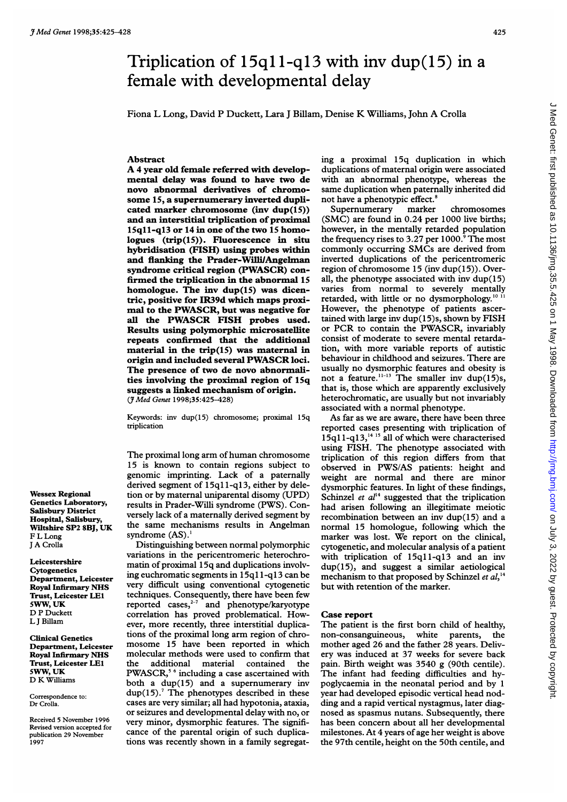# Triplication of 15q11-q13 with inv dup(15) in a female with developmental delay

Fiona L Long, David P Duckett, Lara <sup>J</sup> Billam, Denise K Williams, John A Crolla

## Abstract

A <sup>4</sup> year old female referred with developmental delay was found to have two de novo abnormal derivatives of chromosome 15, a supernumerary inverted duplicated marker chromosome (inv dup(15)) and an interstitial triplication of proximal 15q11-q13 or 14 in one of the two 15 homologues (trip(15)). Fluorescence in situ hybridisation (FISH) using probes within and flanking the Prader-Willi/Angelman syndrome critical region (PWASCR) confirmed the triplication in the abnormal 15 homologue. The inv dup(15) was dicentric, positive for IR39d which maps proximal to the PWASCR, but was negative for all the PWASCR FISH probes used. Results using polymorphic microsatellite repeats confirmed that the additional material in the trip(l5) was maternal in origin and included several PWASCR loci. The presence of two de novo abnormalities involving the proximal region of 15q suggests a linked mechanism of origin. (JMed Genet 1998;35:425-428)

Keywords: inv dup(15) chromosome; proximal 15q triplication

The proximal long arm of human chromosome 15 is known to contain regions subject to genomic imprinting. Lack of a paternally derived segment of 15q1 1-q13, either by deletion or by maternal uniparental disomy (UPD) results in Prader-Willi syndrome (PWS). Conversely lack of a maternally derived segment by the same mechanisms results in Angelman syndrome (AS).

Distinguishing between normal polymorphic variations in the pericentromeric heterochromatin of proximal 15q and duplications involving euchromatic segments in 15q11-q13 can be very difficult using conventional cytogenetic techniques. Consequently, there have been few reported cases, $2-7$  and phenotype/karyotype correlation has proved problematical. However, more recently, three interstitial duplications of the proximal long arm region of chromosome 15 have been reported in which molecular methods were used to confirm that the additional material contained the PWASCR,5 <sup>6</sup> including a case ascertained with both a dup(15) and a supernumerary inv  $dup(15)$ .<sup>7</sup> The phenotypes described in these cases are very similar; all had hypotonia, ataxia, or seizures and developmental delay with no, or very minor, dysmorphic features. The significance of the parental origin of such duplications was recently shown in a family segregating a proximal 15q duplication in which duplications of maternal origin were associated with an abnormal phenotype, whereas the same duplication when paternally inherited did not have a phenotypic effect.<sup>8</sup>

Supernumerary marker chromosomes (SMC) are found in 0.24 per 1000 live births; however, in the mentally retarded population the frequency rises to 3.27 per  $1000$ .<sup>9</sup> The most commonly occurring SMCs are derived from inverted duplications of the pericentromeric region of chromosome 15 (inv dup(15)). Overall, the phenotype associated with inv dup(15) varies from normal to severely mentally retarded, with little or no dysmorphology.<sup>10 11</sup> However, the phenotype of patients ascertained with large inv dup(15)s, shown by FISH or PCR to contain the PWASCR, invariably consist of moderate to severe mental retardation, with more variable reports of autistic behaviour in childhood and seizures. There are usually no dysmorphic features and obesity is not a feature.<sup>11-13</sup> The smaller inv dup(15)s, that is, those which are apparently exclusively heterochromatic, are usually but not invariably associated with a normal phenotype.

As far as we are aware, there have been three reported cases presenting with triplication of 15q1 l-q13,'4 <sup>15</sup> all of which were characterised using FISH. The phenotype associated with triplication of this region differs from that observed in PWS/AS patients: height and weight are normal and there are minor dysmorphic features. In light of these findings, Schinzel et  $al<sup>14</sup>$  suggested that the triplication had arisen following an illegitimate meiotic recombination between an inv dup(15) and a normal 15 homologue, following which the marker was lost. We report on the clinical, cytogenetic, and molecular analysis of a patient with triplication of 15q11-q13 and an inv dup(15), and suggest a similar aetiological mechanism to that proposed by Schinzel et  $al,$ <sup>14</sup> but with retention of the marker.

### Case report

The patient is the first born child of healthy, non-consanguineous, white parents, the mother aged 26 and the father 28 years. Delivery was induced at 37 weeks for severe back pain. Birth weight was 3540 g (90th centile). The infant had feeding difficulties and hypoglycaemia in the neonatal period and by <sup>1</sup> year had developed episodic vertical head nodding and a rapid vertical nystagmus, later diagnosed as spasmus nutans. Subsequently, there has been concern about all her developmental milestones. At 4 years of age her weight is above the 97th centile, height on the 50th centile, and

Wessex Regional Genetics Laboratory, Salisbury District Hospital, Salisbury, Wiltshire SP2 8BJ, UK F L Long <sup>J</sup> A Crolla

Leicestershire **Cytogenetics** Department, Leicester Royal Infirmary NHS Trust, Leicester LE1 5WW, UK D P Duckett L <sup>J</sup> Billam

Clinical Genetics Department, Leicester Royal Infirmary NHS Trust, Leicester LEI 5WW, UK D K Williams

Correspondence to: Dr Crolla.

Received 5 November 1996 Revised version accepted for publication 29 November 1997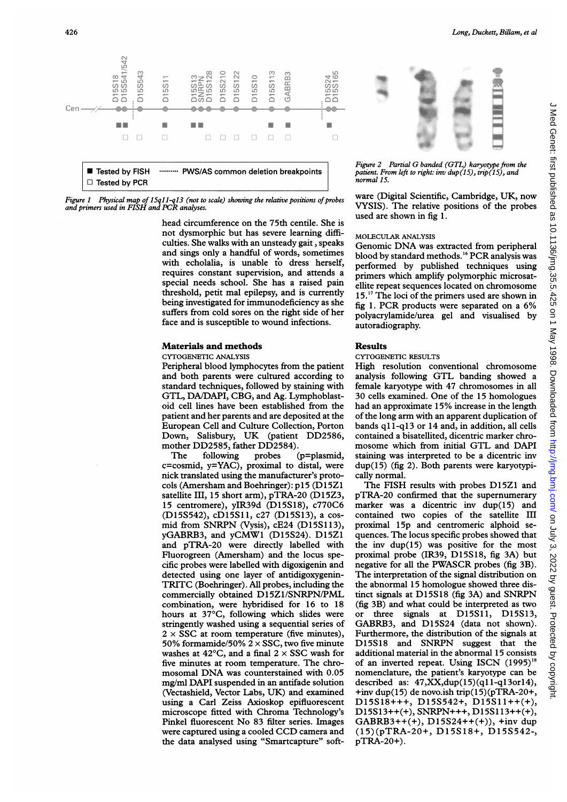

Figure 1 Physical map of 15q11-q13 (not to scale) showing the relative positions of probes<br>and primers used in FISH and PCR analyses.

head circumference on the 75th centile. She is not dysmorphic but has severe learning difficulties. She walks with an unsteady gait, speaks and sings only a handful of words, sometimes with echolalia, is unable to dress herself, requires constant supervision, and attends a special needs school. She has a raised pain threshold, petit mal epilepsy, and is currently being investigated for immunodeficiency as she suffers from cold sores on the right side of her face and is susceptible to wound infections.

## Materials and methods

#### CYTOGENETIC ANALYSIS

Peripheral blood lymphocytes from the patient and both parents were cultured according to standard techniques, followed by staining with GTL, DA/DAPI, CBG, and Ag. Lymphoblastoid cell lines have been established from the patient and her parents and are deposited at the European Cell and Culture Collection, Porton Down, Salisbury, UK (patient DD2586, mother DD2585, father DD2584).<br>The following probes

probes (p=plasmid, c=cosmid, y=YAC), proximal to distal, were nick translated using the manufacturer's protocols (Amersham and Boehringer): p15 (D15Z1 satellite III, 15 short arm), pTRA-20 (D15Z3, 15 centromere), yIR39d (D15S18), c770C6 (D15S542), cD15Sll, c27 (D15S13), a cosmid from SNRPN (Vysis), cE24 (D15S113), yGABRB3, and yCMW1 (D15S24). D15Z1 and pTRA-20 were directly labelled with Fluorogreen (Amersham) and the locus specific probes were labelled with digoxigenin and detected using one layer of antidigoxygenin-TRITC (Boehringer). All probes, including the commercially obtained D15Z1/SNRPN/PML combination, were hybridised for 16 to 18 hours at 37°C, following which slides were stringently washed using a sequential series of  $2 \times$  SSC at room temperature (five minutes), 50% formamide/50%  $2 \times$  SSC, two five minute washes at  $42^{\circ}$ C, and a final  $2 \times$  SSC wash for five minutes at room temperature. The chromosomal DNA was counterstained with 0.05 mg/ml DAPI suspended in an antifade solution (Vectashield, Vector Labs, UK) and examined using a Carl Zeiss Axioskop epifluorescent microscope fitted with Chroma Technology's Pinkel fluorescent No 83 filter series. Images were captured using <sup>a</sup> cooled CCD camera and the data analysed using "Smartcapture" soft-



Long, Duckett, Billam, et al

Figure <sup>2</sup> Partial G banded (GTL) karyotype from the patient. From left to right: inv  $dup(15)$ , trip $(15)$ , and normal 15.

ware (Digital Scientific, Cambridge, UK, now VYSIS). The relative positions of the probes used are shown in fig 1.

# MOLECULAR ANALYSIS

Genomic DNA was extracted from peripheral blood by standard methods.<sup>16</sup> PCR analysis was performed by published techniques using primers which amplify polymorphic microsatellite repeat sequences located on chromosome 15.<sup>17</sup> The loci of the primers used are shown in fig 1. PCR products were separated on <sup>a</sup> 6% polyacrylamide/urea gel and visualised by autoradiography.

# Results

## CYTOGENETIC RESULTS

High resolution conventional chromosome analysis following GTL banding showed <sup>a</sup> female karyotype with 47 chromosomes in all 30 cells examined. One of the 15 homologues had an approximate 15% increase in the length of the long arm with an apparent duplication of bands  $q11-q13$  or 14 and, in addition, all cells contained a bisatellited, dicentric marker chromosome which from initial GTL and DAPI staining was interpreted to be a dicentric inv dup(15) (fig 2). Both parents were karyotypically normal.

The FISH results with probes D15Z1 and pTRA-20 confirmed that the supernumerary marker was a dicentric inv dup(15) and contained two copies of the satellite III proximal 15p and centromeric alphoid sequences. The locus specific probes showed that the inv dup(15) was positive for the most proximal probe (IR39, D15S18, fig 3A) but negative for all the PWASCR probes (fig 3B). The interpretation of the signal distribution on the abnormal 15 homologue showed three distinct signals at D15S18 (fig 3A) and SNRPN (fig 3B) and what could be interpreted as two or three signals at D15S1l, D15S13, GABRB3, and D15S24 (data not shown). Furthermore, the distribution of the signals at D15S18 and SNRPN suggest that the additional material in the abnormal 15 consists of an inverted repeat. Using ISCN  $(1995)^{18}$ nomenclature, the patient's karyotype can be described as:  $47, XX, dup(15)(q11-q13or14)$ , +inv dup(15) de novo.ish trip(15)(pTRA-20+, D15S18+++, D15S542+, D15Sll++(+), D15S13++(+), SNRPN+++, D15S113++(+), GABRB3++(+),  $D15S24++(+)$ , +inv dup (15)(pTRA-20+, D15S18+, D15S542-, pTRA-20+).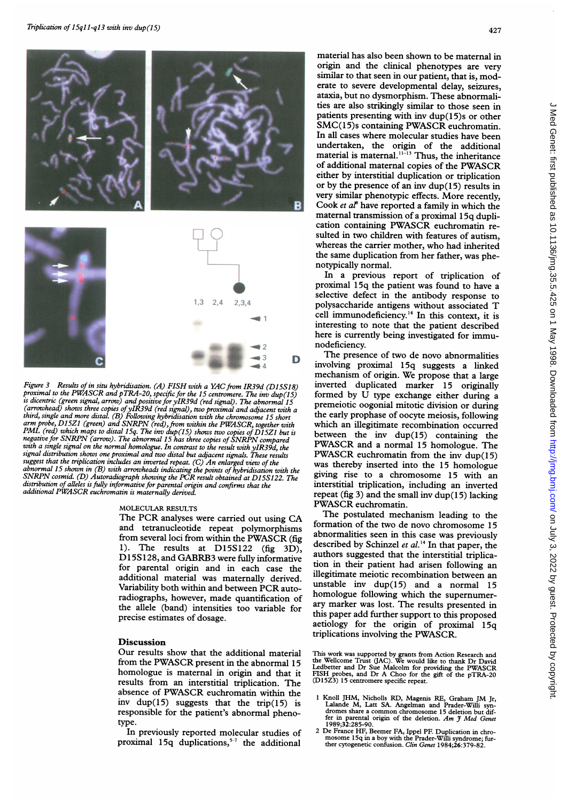

Figure 3 Results of in situ hybridisation. (A) FISH with a YAC from IR39d (D15S18) proximal to the PWASCR and pTRA-20, specific for the 15 centromere. The inv dup(15) proximal to the PWASCR and pTRA-20, specific for the <sup>15</sup> centromere. The inv dup (15) is dicentric (green signal, arrow) and positive for yIR39d (red signal). The abnormal 15 (arrowhead) shows three copies of yIR39d (red signal), two proximal and adjacent with a<br>third, single and more distal. (B) Following hybridisation with the chromosome 15 short<br>arm probe, D15Z1 (green) and SNRPN (red), from negative for SNRPN (arrow). The abnormal <sup>15</sup> has three copies of SNRPN compared with <sup>a</sup> single signal on the normal homologue. In contrast to the result with yIR39d, the signal distribution shows one proximal and two distal but adjacent signals. These results suggest that the triplication includes an inverted repeat. (C) An enlarged view of the abnormal 15 shown in (B) with arrowheads indicating the points of hybridisation with the SNRPN cosmid. (D) Autoradiograph showing the PCR result obtained at D15S122. The distribution of alleles is fully informative for parental origin and confirms that the additional PWASCR euchromatin is maternally derived.

## MOLECULAR RESULTS

The PCR analyses were carried out using CA and tetranucleotide repeat polymorphisms from several loci from within the PWASCR (fig 1). The results at D15S122 (fig 3D), Dl 5S 128, and GABRB3 were fully informative for parental origin and in each case the additional material was maternally derived. Variability both within and between PCR autoradiographs, however, made quantification of the allele (band) intensities too variable for precise estimates of dosage.

## Discussion

Our results show that the additional material from the PWASCR present in the abnormal <sup>15</sup> homologue is maternal in origin and that it results from an interstitial triplication. The absence of PWASCR euchromatin within the inv dup(15) suggests that the trip(15) is responsible for the patient's abnormal phenotype.

In previously reported molecular studies of proximal 15q duplications, $5-7$  the additional

material has also been shown to be maternal in origin and the clinical phenotypes are very similar to that seen in our patient, that is, moderate to severe developmental delay, seizures, ataxia, but no dysmorphism. These abnormalities are also strikingly similar to those seen in patients presenting with inv dup(15)s or other SMC(15)s containing PWASCR euchromatin. In all cases where molecular studies have been undertaken, the origin of the additional material is maternal.<sup>"-13</sup> Thus, the inheritance of additional maternal copies of the PWASCR either by interstitial duplication or triplication or by the presence of an inv dup(15) results in very similar phenotypic effects. More recently, Cook et  $a^{\beta}$  have reported a family in which the maternal transmission of a proximal 15q duplication containing PWASCR euchromatin resulted in two children with features of autism, whereas the carrier mother, who had inherited the same duplication from her father, was phenotypically normal.

In a previous report of triplication of proximal 15q the patient was found to have a selective defect in the antibody response to polysaccharide antigens without associated T cell immunodeficiency.'4 In this context, it is interesting to note that the patient described here is currently being investigated for immunodeficiency.

The presence of two de novo abnormalities involving proximal 15q suggests a linked mechanism of origin. We propose that <sup>a</sup> large inverted duplicated marker 15 originally formed by U type exchange either during <sup>a</sup> premeiotic oogonial mitotic division or during the early prophase of oocyte meiosis, following which an illegitimate recombination occurred between the inv  $dup(15)$  containing the PWASCR and <sup>a</sup> normal <sup>15</sup> homologue. The PWASCR euchromatin from the inv dup(15) was thereby inserted into the <sup>15</sup> homologue giving rise to a chromosome 15 with an interstitial triplication, including an inverted repeat (fig 3) and the small inv dup(15) lacking PWASCR euchromatin.

The postulated mechanism leading to the formation of the two de novo chromosome 15 abnormalities seen in this case was previously described by Schinzel et  $al.^{14}$  In that paper, the authors suggested that the interstitial triplication in their patient had arisen following an illegitimate meiotic recombination between an unstable inv  $dup(15)$  and a normal 15 homologue following which the supernumerary marker was lost. The results presented in this paper add further support to this proposed aetiology for the origin of proximal 15q triplications involving the PWASCR.

This work was supported by grants from Action Research and the Wellcome Trust (JAC). We would like to thank Dr David Ledbetter and Dr Sue Malcolm for providing the PWASCR FISH probes, and Dr A Choo for the gift of the pTRA-20 (D15Z3) 15 centromere specific repeat.

- <sup>1</sup> Knoll JHM, Nicholls RD, Magenis RE, Graham JM Jr, Lalande M, Latt SA. Angelman and Prader-Willi syn- dromes share <sup>a</sup> common chromosome <sup>15</sup> deletion but differ in parental origin of the deletion. Am J Med Genet 1989;32:285-90.
- <sup>2</sup> De France HF, Beemer FA, Ippel PF. Duplication in chromosome 15q in a boy with the Prader-Willi syndrome; fur-<br>ther cytogenetic confusion. *Clin Genet* 1984;26:379-82.